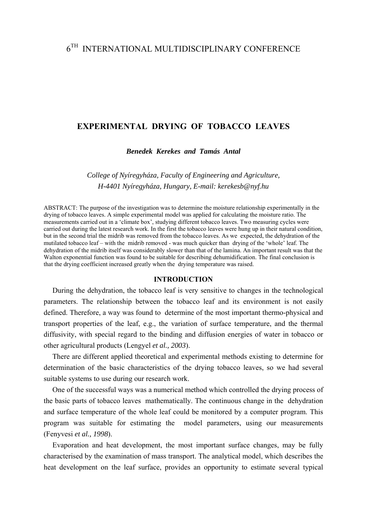# 6TH INTERNATIONAL MULTIDISCIPLINARY CONFERENCE

# **EXPERIMENTAL DRYING OF TOBACCO LEAVES**

*Benedek Kerekes and Tamás Antal* 

*College of Nyíregyháza, Faculty of Engineering and Agriculture, H-4401 Nyíregyháza, Hungary, E-mail: kerekesb@nyf.hu* 

ABSTRACT: The purpose of the investigation was to determine the moisture relationship experimentally in the drying of tobacco leaves. A simple experimental model was applied for calculating the moisture ratio. The measurements carried out in a 'climate box', studying different tobacco leaves. Two measuring cycles were carried out during the latest research work. In the first the tobacco leaves were hung up in their natural condition, but in the second trial the midrib was removed from the tobacco leaves. As we expected, the dehydration of the mutilated tobacco leaf – with the midrib removed - was much quicker than drying of the 'whole' leaf. The dehydration of the midrib itself was considerably slower than that of the lamina. An important result was that the Walton exponential function was found to be suitable for describing dehumidification. The final conclusion is that the drying coefficient increased greatly when the drying temperature was raised.

# **INTRODUCTION**

During the dehydration, the tobacco leaf is very sensitive to changes in the technological parameters. The relationship between the tobacco leaf and its environment is not easily defined. Therefore, a way was found to determine of the most important thermo-physical and transport properties of the leaf, e.g., the variation of surface temperature, and the thermal diffusivity, with special regard to the binding and diffusion energies of water in tobacco or other agricultural products (Lengyel *et al., 2003*).

There are different applied theoretical and experimental methods existing to determine for determination of the basic characteristics of the drying tobacco leaves, so we had several suitable systems to use during our research work.

One of the successful ways was a numerical method which controlled the drying process of the basic parts of tobacco leaves mathematically. The continuous change in the dehydration and surface temperature of the whole leaf could be monitored by a computer program. This program was suitable for estimating the model parameters, using our measurements (Fenyvesi *et al., 1998*).

Evaporation and heat development, the most important surface changes, may be fully characterised by the examination of mass transport. The analytical model, which describes the heat development on the leaf surface, provides an opportunity to estimate several typical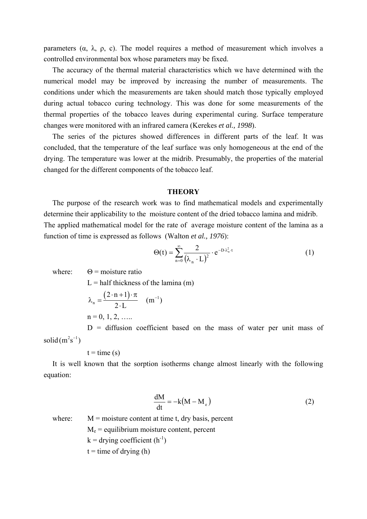parameters (α, λ, ρ, c). The model requires a method of measurement which involves a controlled environmental box whose parameters may be fixed.

The accuracy of the thermal material characteristics which we have determined with the numerical model may be improved by increasing the number of measurements. The conditions under which the measurements are taken should match those typically employed during actual tobacco curing technology. This was done for some measurements of the thermal properties of the tobacco leaves during experimental curing. Surface temperature changes were monitored with an infrared camera (Kerekes *et al., 1998*).

The series of the pictures showed differences in different parts of the leaf. It was concluded, that the temperature of the leaf surface was only homogeneous at the end of the drying. The temperature was lower at the midrib. Presumably, the properties of the material changed for the different components of the tobacco leaf.

#### **THEORY**

The purpose of the research work was to find mathematical models and experimentally determine their applicability to the moisture content of the dried tobacco lamina and midrib. The applied mathematical model for the rate of average moisture content of the lamina as a function of time is expressed as follows (Walton *et al., 1976*):

$$
\Theta(t) = \sum_{n=0}^{\infty} \frac{2}{(\lambda_n \cdot L)^2} \cdot e^{-D \cdot \lambda_n^2 \cdot t} \tag{1}
$$

where:  $\Theta$  = moisture ratio

 $L =$  half thickness of the lamina (m)

$$
(2 \cdot n + 1) \cdot \pi
$$

$$
\lambda_n = \frac{(2 \cdot n + 1) \cdot \pi}{2 \cdot L} \quad (m^{-1})
$$
  
n = 0, 1, 2, ....

 $D =$  diffusion coefficient based on the mass of water per unit mass of solid  $(m^2 s^{-1})$ 

$$
t = time(s)
$$

It is well known that the sorption isotherms change almost linearly with the following equation:

$$
\frac{dM}{dt} = -k(M - M_e)
$$
 (2)

where:  $M = \text{moisture content at time } t$ , dry basis, percent

$$
M_e
$$
 = equilibrium moisture content, percent

 $k =$  drying coefficient  $(h^{-1})$ 

 $t =$  time of drying (h)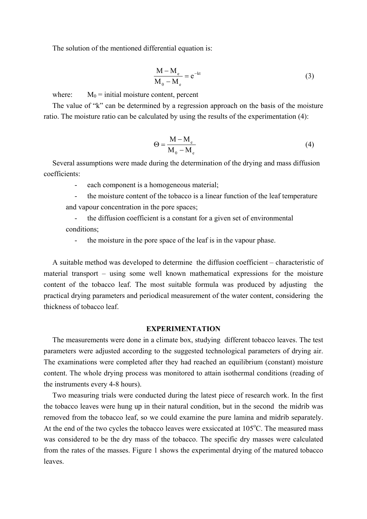The solution of the mentioned differential equation is:

$$
\frac{M - M_e}{M_0 - M_e} = e^{-kt}
$$
 (3)

where:  $M_0$  = initial moisture content, percent

The value of "k" can be determined by a regression approach on the basis of the moisture ratio. The moisture ratio can be calculated by using the results of the experimentation (4):

$$
\Theta = \frac{M - M_e}{M_0 - M_e} \tag{4}
$$

Several assumptions were made during the determination of the drying and mass diffusion coefficients:

- each component is a homogeneous material;

- the moisture content of the tobacco is a linear function of the leaf temperature and vapour concentration in the pore spaces;

- the diffusion coefficient is a constant for a given set of environmental conditions;

- the moisture in the pore space of the leaf is in the vapour phase.

A suitable method was developed to determine the diffusion coefficient – characteristic of material transport – using some well known mathematical expressions for the moisture content of the tobacco leaf. The most suitable formula was produced by adjusting the practical drying parameters and periodical measurement of the water content, considering the thickness of tobacco leaf.

# **EXPERIMENTATION**

The measurements were done in a climate box, studying different tobacco leaves. The test parameters were adjusted according to the suggested technological parameters of drying air. The examinations were completed after they had reached an equilibrium (constant) moisture content. The whole drying process was monitored to attain isothermal conditions (reading of the instruments every 4-8 hours).

Two measuring trials were conducted during the latest piece of research work. In the first the tobacco leaves were hung up in their natural condition, but in the second the midrib was removed from the tobacco leaf, so we could examine the pure lamina and midrib separately. At the end of the two cycles the tobacco leaves were exsiccated at  $105^{\circ}$ C. The measured mass was considered to be the dry mass of the tobacco. The specific dry masses were calculated from the rates of the masses. Figure 1 shows the experimental drying of the matured tobacco leaves.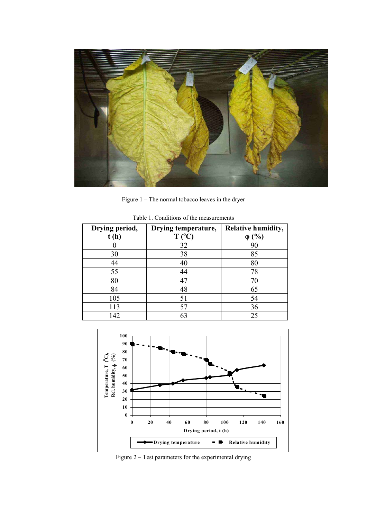

Figure 1 – The normal tobacco leaves in the dryer

| Drying period,<br>t(h) | Drying temperature,<br>$T(^0C)$ | <b>Relative humidity,</b><br>$\varphi$ (%) |
|------------------------|---------------------------------|--------------------------------------------|
|                        | 32                              | 90                                         |
| 30                     | 38                              | 85                                         |
| 44                     | 40                              | 80                                         |
| 55                     | 44                              | 78                                         |
| 80                     | 47                              | 70                                         |
| 84                     | 48                              | 65                                         |
| 105                    | 51                              | 54                                         |
| 113                    | 57                              | 36                                         |
| 142                    | 63                              | 25                                         |

Table 1. Conditions of the measurements



Figure 2 – Test parameters for the experimental drying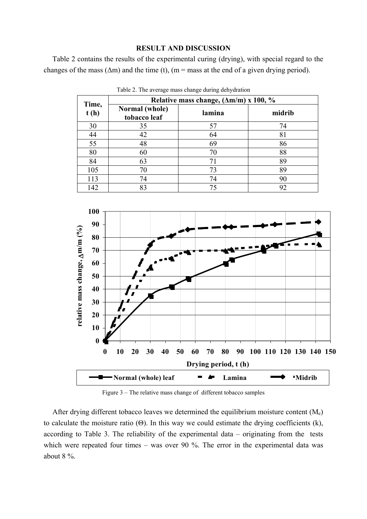### **RESULT AND DISCUSSION**

Table 2 contains the results of the experimental curing (drying), with special regard to the changes of the mass ( $\Delta m$ ) and the time (t), (m = mass at the end of a given drying period).

|               | Relative mass change, $(\Delta m/m)$ x 100, % |        |        |
|---------------|-----------------------------------------------|--------|--------|
| Time,<br>t(h) | Normal (whole)<br>tobacco leaf                | lamina | midrib |
| 30            | 35                                            | 57     | 74     |
| 44            | 42                                            | 64     | 81     |
| 55            | 48                                            | 69     | 86     |
| 80            | 60                                            | 70     | 88     |
| 84            | 63                                            | 71     | 89     |
| 105           | 70                                            | 73     | 89     |
| 113           | 74                                            | 74     | 90     |
| 142           | 83                                            | 75     | 92     |

Table 2. The average mass change during dehydration



Figure 3 – The relative mass change of different tobacco samples

After drying different tobacco leaves we determined the equilibrium moisture content  $(M_e)$ to calculate the moisture ratio  $(\Theta)$ . In this way we could estimate the drying coefficients (k), according to Table 3. The reliability of the experimental data – originating from the tests which were repeated four times – was over 90 %. The error in the experimental data was about 8 %.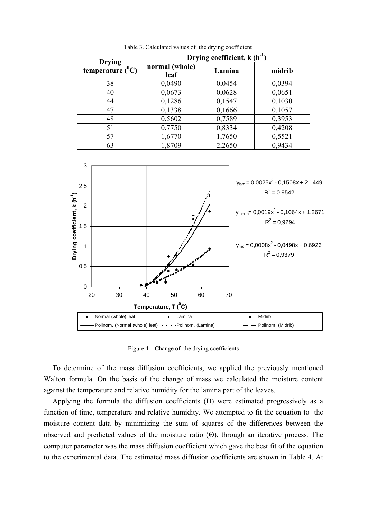| <b>Drying</b>       | Drying coefficient, $k(h^{-1})$ |        |        |
|---------------------|---------------------------------|--------|--------|
| temperature $(^0C)$ | normal (whole)<br>leaf          | Lamina | midrib |
| 38                  | 0,0490                          | 0,0454 | 0,0394 |
| 40                  | 0,0673                          | 0,0628 | 0,0651 |
| 44                  | 0,1286                          | 0,1547 | 0,1030 |
| 47                  | 0,1338                          | 0,1666 | 0,1057 |
| 48                  | 0,5602                          | 0,7589 | 0,3953 |
| 51                  | 0,7750                          | 0,8334 | 0,4208 |
| 57                  | 1,6770                          | 1,7650 | 0,5521 |
| 63                  | 1,8709                          | 2,2650 | 0,9434 |

Table 3. Calculated values of the drying coefficient



Figure 4 – Change of the drying coefficients

To determine of the mass diffusion coefficients, we applied the previously mentioned Walton formula. On the basis of the change of mass we calculated the moisture content against the temperature and relative humidity for the lamina part of the leaves.

Applying the formula the diffusion coefficients (D) were estimated progressively as a function of time, temperature and relative humidity. We attempted to fit the equation to the moisture content data by minimizing the sum of squares of the differences between the observed and predicted values of the moisture ratio (Θ), through an iterative process. The computer parameter was the mass diffusion coefficient which gave the best fit of the equation to the experimental data. The estimated mass diffusion coefficients are shown in Table 4. At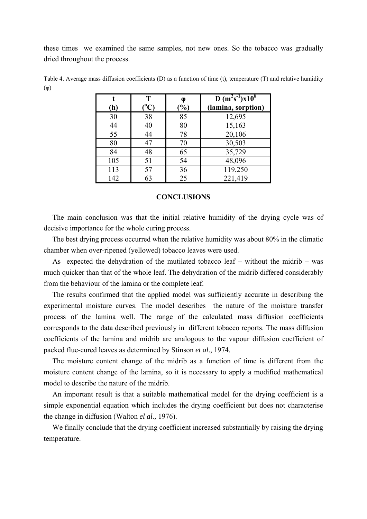these times we examined the same samples, not new ones. So the tobacco was gradually dried throughout the process.

| (h) | T<br>$(^{0}C)$ | φ<br>$(\%)$ | $D(m^2s^{-1})x10^8$<br>(lamina, sorption) |
|-----|----------------|-------------|-------------------------------------------|
| 30  | 38             | 85          | 12,695                                    |
| 44  | 40             | 80          | 15,163                                    |
| 55  | 44             | 78          | 20,106                                    |
| 80  | 47             | 70          | 30,503                                    |
| 84  | 48             | 65          | 35,729                                    |
| 105 | 51             | 54          | 48,096                                    |
| 113 | 57             | 36          | 119,250                                   |
| 142 | 63             | 25          | 221,419                                   |

Table 4. Average mass diffusion coefficients (D) as a function of time (t), temperature (T) and relative humidity (φ)

#### **CONCLUSIONS**

The main conclusion was that the initial relative humidity of the drying cycle was of decisive importance for the whole curing process.

The best drying process occurred when the relative humidity was about 80% in the climatic chamber when over-ripened (yellowed) tobacco leaves were used.

As expected the dehydration of the mutilated tobacco leaf – without the midrib – was much quicker than that of the whole leaf. The dehydration of the midrib differed considerably from the behaviour of the lamina or the complete leaf.

The results confirmed that the applied model was sufficiently accurate in describing the experimental moisture curves. The model describes the nature of the moisture transfer process of the lamina well. The range of the calculated mass diffusion coefficients corresponds to the data described previously in different tobacco reports. The mass diffusion coefficients of the lamina and midrib are analogous to the vapour diffusion coefficient of packed flue-cured leaves as determined by Stinson *et al*., 1974.

The moisture content change of the midrib as a function of time is different from the moisture content change of the lamina, so it is necessary to apply a modified mathematical model to describe the nature of the midrib.

An important result is that a suitable mathematical model for the drying coefficient is a simple exponential equation which includes the drying coefficient but does not characterise the change in diffusion (Walton *el al.,* 1976).

We finally conclude that the drying coefficient increased substantially by raising the drying temperature.